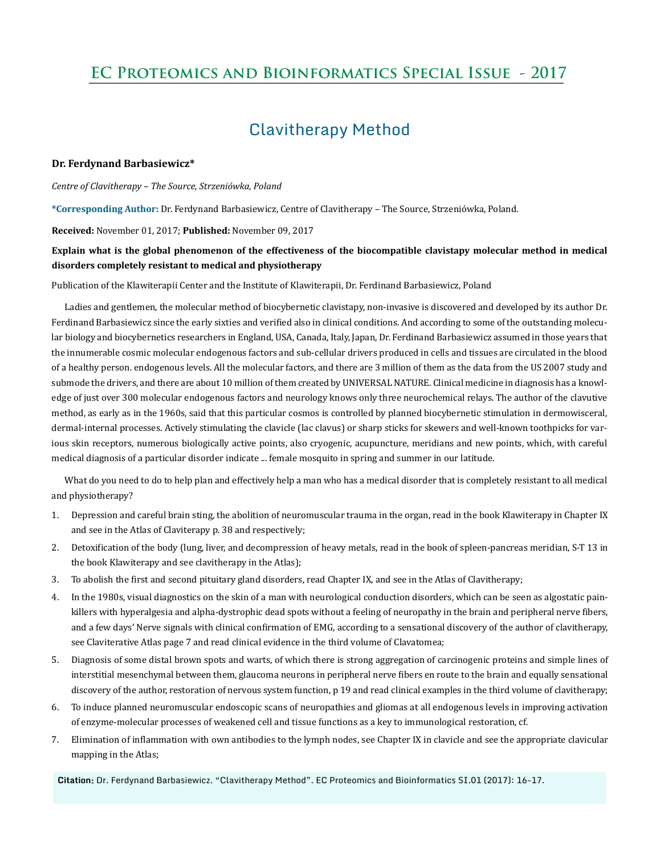# **EC Proteomics and Bioinformatics Special Issue - 2017**

## Clavitherapy Method

### **Dr. Ferdynand Barbasiewicz\***

*Centre of Clavitherapy – The Source, Strzeniówka, Poland* 

**\*Corresponding Author:** Dr. Ferdynand Barbasiewicz, Centre of Clavitherapy – The Source, Strzeniówka, Poland.

**Received:** November 01, 2017; **Published:** November 09, 2017

### **Explain what is the global phenomenon of the effectiveness of the biocompatible clavistapy molecular method in medical disorders completely resistant to medical and physiotherapy**

Publication of the Klawiterapii Center and the Institute of Klawiterapii, Dr. Ferdinand Barbasiewicz, Poland

Ladies and gentlemen, the molecular method of biocybernetic clavistapy, non-invasive is discovered and developed by its author Dr. Ferdinand Barbasiewicz since the early sixties and verified also in clinical conditions. And according to some of the outstanding molecular biology and biocybernetics researchers in England, USA, Canada, Italy, Japan, Dr. Ferdinand Barbasiewicz assumed in those years that the innumerable cosmic molecular endogenous factors and sub-cellular drivers produced in cells and tissues are circulated in the blood of a healthy person. endogenous levels. All the molecular factors, and there are 3 million of them as the data from the US 2007 study and submode the drivers, and there are about 10 million of them created by UNIVERSAL NATURE. Clinical medicine in diagnosis has a knowledge of just over 300 molecular endogenous factors and neurology knows only three neurochemical relays. The author of the clavutive method, as early as in the 1960s, said that this particular cosmos is controlled by planned biocybernetic stimulation in dermowisceral, dermal-internal processes. Actively stimulating the clavicle (lac clavus) or sharp sticks for skewers and well-known toothpicks for various skin receptors, numerous biologically active points, also cryogenic, acupuncture, meridians and new points, which, with careful medical diagnosis of a particular disorder indicate ... female mosquito in spring and summer in our latitude.

What do you need to do to help plan and effectively help a man who has a medical disorder that is completely resistant to all medical and physiotherapy?

- 1. Depression and careful brain sting, the abolition of neuromuscular trauma in the organ, read in the book Klawiterapy in Chapter IX and see in the Atlas of Claviterapy p. 38 and respectively;
- 2. Detoxification of the body (lung, liver, and decompression of heavy metals, read in the book of spleen-pancreas meridian, S-T 13 in the book Klawiterapy and see clavitherapy in the Atlas);
- 3. To abolish the first and second pituitary gland disorders, read Chapter IX, and see in the Atlas of Clavitherapy;
- 4. In the 1980s, visual diagnostics on the skin of a man with neurological conduction disorders, which can be seen as algostatic painkillers with hyperalgesia and alpha-dystrophic dead spots without a feeling of neuropathy in the brain and peripheral nerve fibers, and a few days' Nerve signals with clinical confirmation of EMG, according to a sensational discovery of the author of clavitherapy, see Claviterative Atlas page 7 and read clinical evidence in the third volume of Clavatomea;
- 5. Diagnosis of some distal brown spots and warts, of which there is strong aggregation of carcinogenic proteins and simple lines of interstitial mesenchymal between them, glaucoma neurons in peripheral nerve fibers en route to the brain and equally sensational discovery of the author, restoration of nervous system function, p 19 and read clinical examples in the third volume of clavitherapy;
- 6. To induce planned neuromuscular endoscopic scans of neuropathies and gliomas at all endogenous levels in improving activation of enzyme-molecular processes of weakened cell and tissue functions as a key to immunological restoration, cf.
- 7. Elimination of inflammation with own antibodies to the lymph nodes, see Chapter IX in clavicle and see the appropriate clavicular mapping in the Atlas;

**Citation:** Dr. Ferdynand Barbasiewicz. "Clavitherapy Method". EC Proteomics and Bioinformatics SI.01 (2017): 16-17.